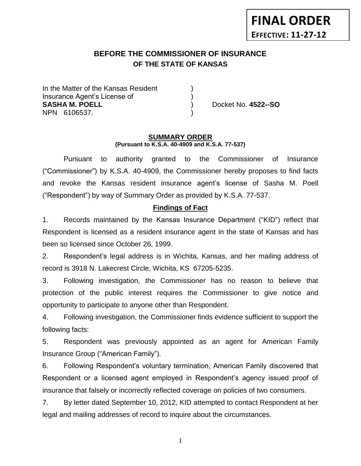# **BEFORE THE COMMISSIONER OF INSURANCE** *-12***OF THE STATE OF KANSAS**

In the Matter of the Kansas Resident Insurance Agent's License of ) **SASHA M. POELL** ) Docket No. **4522--SO** NPN 6106537. )

#### **SUMMARY ORDER (Pursuant to K.S.A. 40-4909 and K.S.A. 77-537)**

Pursuant to authority granted to the Commissioner of Insurance ("Commissioner") by K.S.A. 40-4909, the Commissioner hereby proposes to find facts and revoke the Kansas resident insurance agent's license of Sasha M. Poell ("Respondent") by way of Summary Order as provided by K.S.A. 77-537.

# **Findings of Fact**

1. Records maintained by the Kansas Insurance Department ("KID") reflect that Respondent is licensed as a resident insurance agent in the state of Kansas and has been so licensed since October 26, 1999.

2. Respondent's legal address is in Wichita, Kansas, and her mailing address of record is 3918 N. Lakecrest Circle, Wichita, KS 67205-5235.

3. Following investigation, the Commissioner has no reason to believe that protection of the public interest requires the Commissioner to give notice and opportunity to participate to anyone other than Respondent.

4. Following investigation, the Commissioner finds evidence sufficient to support the following facts:

5. Respondent was previously appointed as an agent for American Family Insurance Group ("American Family").

6. Following Respondent's voluntary termination, American Family discovered that Respondent or a licensed agent employed in Respondent's agency issued proof of insurance that falsely or incorrectly reflected coverage on policies of two consumers.

7. By letter dated September 10, 2012, KID attempted to contact Respondent at her legal and mailing addresses of record to inquire about the circumstances.

1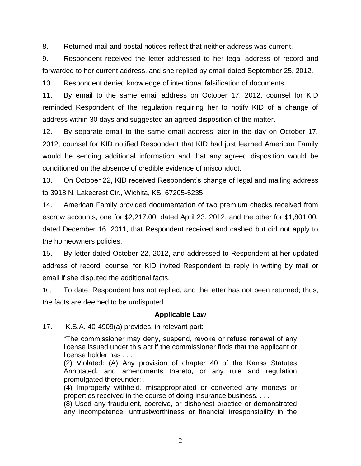8. Returned mail and postal notices reflect that neither address was current.

9. Respondent received the letter addressed to her legal address of record and forwarded to her current address, and she replied by email dated September 25, 2012.

10. Respondent denied knowledge of intentional falsification of documents.

11. By email to the same email address on October 17, 2012, counsel for KID reminded Respondent of the regulation requiring her to notify KID of a change of address within 30 days and suggested an agreed disposition of the matter.

12. By separate email to the same email address later in the day on October 17, 2012, counsel for KID notified Respondent that KID had just learned American Family would be sending additional information and that any agreed disposition would be conditioned on the absence of credible evidence of misconduct.

13. On October 22, KID received Respondent's change of legal and mailing address to 3918 N. Lakecrest Cir., Wichita, KS 67205-5235.

14. American Family provided documentation of two premium checks received from escrow accounts, one for \$2,217.00, dated April 23, 2012, and the other for \$1,801.00, dated December 16, 2011, that Respondent received and cashed but did not apply to the homeowners policies.

15. By letter dated October 22, 2012, and addressed to Respondent at her updated address of record, counsel for KID invited Respondent to reply in writing by mail or email if she disputed the additional facts.

16. To date, Respondent has not replied, and the letter has not been returned; thus, the facts are deemed to be undisputed.

## **Applicable Law**

17. K.S.A. 40-4909(a) provides, in relevant part:

"The commissioner may deny, suspend, revoke or refuse renewal of any license issued under this act if the commissioner finds that the applicant or license holder has . . .

(2) Violated: (A) Any provision of chapter 40 of the Kanss Statutes Annotated, and amendments thereto, or any rule and regulation promulgated thereunder; . . .

(4) Improperly withheld, misappropriated or converted any moneys or properties received in the course of doing insurance business. . . .

(8) Used any fraudulent, coercive, or dishonest practice or demonstrated any incompetence, untrustworthiness or financial irresponsibility in the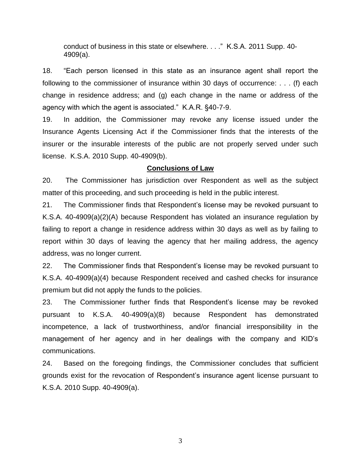conduct of business in this state or elsewhere. . . ." K.S.A. 2011 Supp. 40- 4909(a).

18. "Each person licensed in this state as an insurance agent shall report the following to the commissioner of insurance within 30 days of occurrence: . . . (f) each change in residence address; and (g) each change in the name or address of the agency with which the agent is associated." K.A.R. §40-7-9.

19. In addition, the Commissioner may revoke any license issued under the Insurance Agents Licensing Act if the Commissioner finds that the interests of the insurer or the insurable interests of the public are not properly served under such license. K.S.A. 2010 Supp. 40-4909(b).

### **Conclusions of Law**

20. The Commissioner has jurisdiction over Respondent as well as the subject matter of this proceeding, and such proceeding is held in the public interest.

21. The Commissioner finds that Respondent's license may be revoked pursuant to K.S.A. 40-4909(a)(2)(A) because Respondent has violated an insurance regulation by failing to report a change in residence address within 30 days as well as by failing to report within 30 days of leaving the agency that her mailing address, the agency address, was no longer current.

22. The Commissioner finds that Respondent's license may be revoked pursuant to K.S.A. 40-4909(a)(4) because Respondent received and cashed checks for insurance premium but did not apply the funds to the policies.

23. The Commissioner further finds that Respondent's license may be revoked pursuant to K.S.A. 40-4909(a)(8) because Respondent has demonstrated incompetence, a lack of trustworthiness, and/or financial irresponsibility in the management of her agency and in her dealings with the company and KID's communications.

24. Based on the foregoing findings, the Commissioner concludes that sufficient grounds exist for the revocation of Respondent's insurance agent license pursuant to K.S.A. 2010 Supp. 40-4909(a).

3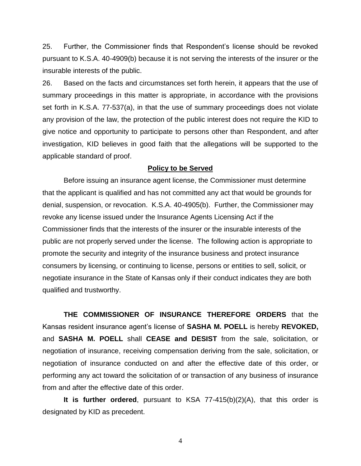25. Further, the Commissioner finds that Respondent's license should be revoked pursuant to K.S.A. 40-4909(b) because it is not serving the interests of the insurer or the insurable interests of the public.

26. Based on the facts and circumstances set forth herein, it appears that the use of summary proceedings in this matter is appropriate, in accordance with the provisions set forth in K.S.A. 77-537(a), in that the use of summary proceedings does not violate any provision of the law, the protection of the public interest does not require the KID to give notice and opportunity to participate to persons other than Respondent, and after investigation, KID believes in good faith that the allegations will be supported to the applicable standard of proof.

#### **Policy to be Served**

Before issuing an insurance agent license, the Commissioner must determine that the applicant is qualified and has not committed any act that would be grounds for denial, suspension, or revocation. K.S.A. 40-4905(b). Further, the Commissioner may revoke any license issued under the Insurance Agents Licensing Act if the Commissioner finds that the interests of the insurer or the insurable interests of the public are not properly served under the license. The following action is appropriate to promote the security and integrity of the insurance business and protect insurance consumers by licensing, or continuing to license, persons or entities to sell, solicit, or negotiate insurance in the State of Kansas only if their conduct indicates they are both qualified and trustworthy.

**THE COMMISSIONER OF INSURANCE THEREFORE ORDERS** that the Kansas resident insurance agent's license of **SASHA M. POELL** is hereby **REVOKED,**  and **SASHA M. POELL** shall **CEASE and DESIST** from the sale, solicitation, or negotiation of insurance, receiving compensation deriving from the sale, solicitation, or negotiation of insurance conducted on and after the effective date of this order, or performing any act toward the solicitation of or transaction of any business of insurance from and after the effective date of this order.

**It is further ordered**, pursuant to KSA 77-415(b)(2)(A), that this order is designated by KID as precedent.

4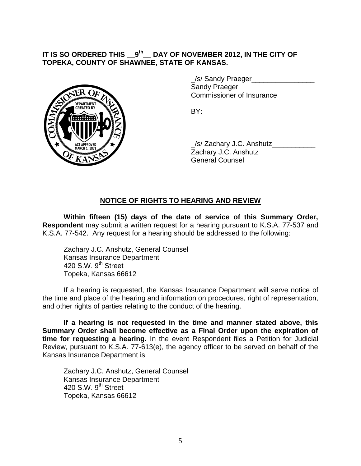#### **IT IS SO ORDERED THIS \_\_9 th \_\_ DAY OF NOVEMBER 2012, IN THE CITY OF TOPEKA, COUNTY OF SHAWNEE, STATE OF KANSAS.**



/s/ Sandy Praeger Sandy Praeger Commissioner of Insurance

BY:

\_/s/ Zachary J.C. Anshutz\_\_\_\_\_\_\_\_\_\_\_ Zachary J.C. Anshutz General Counsel

# **NOTICE OF RIGHTS TO HEARING AND REVIEW**

**Within fifteen (15) days of the date of service of this Summary Order, Respondent** may submit a written request for a hearing pursuant to K.S.A. 77-537 and K.S.A. 77-542. Any request for a hearing should be addressed to the following:

Zachary J.C. Anshutz, General Counsel Kansas Insurance Department 420 S.W.  $9<sup>th</sup>$  Street Topeka, Kansas 66612

If a hearing is requested, the Kansas Insurance Department will serve notice of the time and place of the hearing and information on procedures, right of representation, and other rights of parties relating to the conduct of the hearing.

**If a hearing is not requested in the time and manner stated above, this Summary Order shall become effective as a Final Order upon the expiration of time for requesting a hearing.** In the event Respondent files a Petition for Judicial Review, pursuant to K.S.A. 77-613(e), the agency officer to be served on behalf of the Kansas Insurance Department is

Zachary J.C. Anshutz, General Counsel Kansas Insurance Department 420 S.W. 9<sup>th</sup> Street Topeka, Kansas 66612